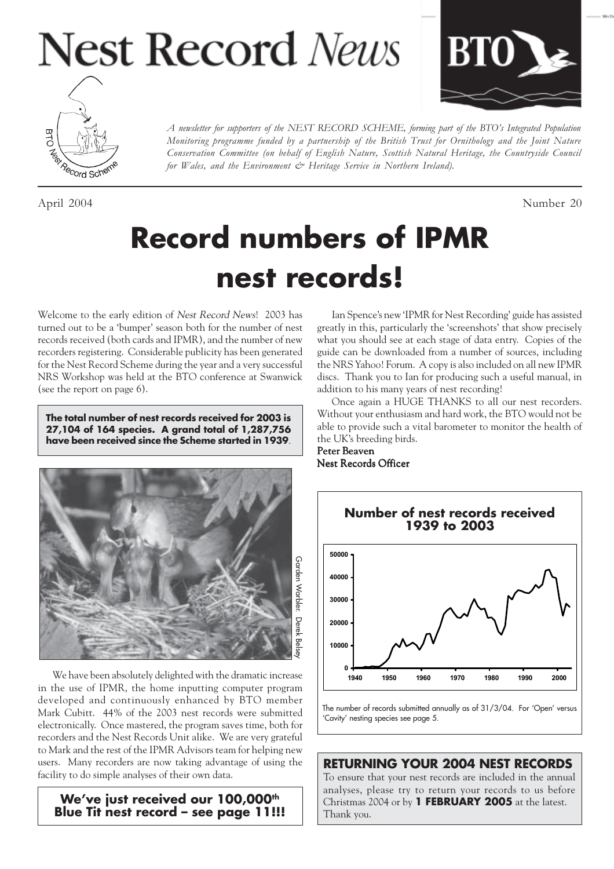# **Nest Record News**





April 2004 Number 20

*A newsletter for supporters of the NEST RECORD SCHEME, forming part of the BTO's Integrated Population Monitoring programme funded by a partnership of the British Trust for Ornithology and the Joint Nature Conservation Committee (on behalf of English Nature, Scottish Natural Heritage, the Countryside Council for Wales, and the Environment & Heritage Service in Northern Ireland).*

## **Record numbers of IPMR nest records!**

Welcome to the early edition of Nest Record News! 2003 has turned out to be a 'bumper' season both for the number of nest records received (both cards and IPMR), and the number of new recorders registering. Considerable publicity has been generated for the Nest Record Scheme during the year and a very successful NRS Workshop was held at the BTO conference at Swanwick (see the report on page 6).

**The total number of nest records received for 2003 is 27,104 of 164 species. A grand total of 1,287,756 have been received since the Scheme started in 1939**.



We have been absolutely delighted with the dramatic increase in the use of IPMR, the home inputting computer program developed and continuously enhanced by BTO member Mark Cubitt. 44% of the 2003 nest records were submitted electronically. Once mastered, the program saves time, both for recorders and the Nest Records Unit alike. We are very grateful to Mark and the rest of the IPMR Advisors team for helping new users. Many recorders are now taking advantage of using the facility to do simple analyses of their own data.

We've just received our 100,000<sup>th</sup> **Blue Tit nest record – see page 11!!!**

Ian Spence's new 'IPMR for Nest Recording' guide has assisted greatly in this, particularly the 'screenshots' that show precisely what you should see at each stage of data entry. Copies of the guide can be downloaded from a number of sources, including the NRS Yahoo! Forum. A copy is also included on all new IPMR discs. Thank you to Ian for producing such a useful manual, in addition to his many years of nest recording!

Once again a HUGE THANKS to all our nest recorders. Without your enthusiasm and hard work, the BTO would not be able to provide such a vital barometer to monitor the health of the UK's breeding birds.

#### Peter Beaven Nest Records Officer



The number of records submitted annually as of 31/3/04. For 'Open' versus 'Cavity' nesting species see page 5.

#### **RETURNING YOUR 2004 NEST RECORDS**

To ensure that your nest records are included in the annual analyses, please try to return your records to us before Christmas 2004 or by **1 FEBRUARY 2005** at the latest. Thank you.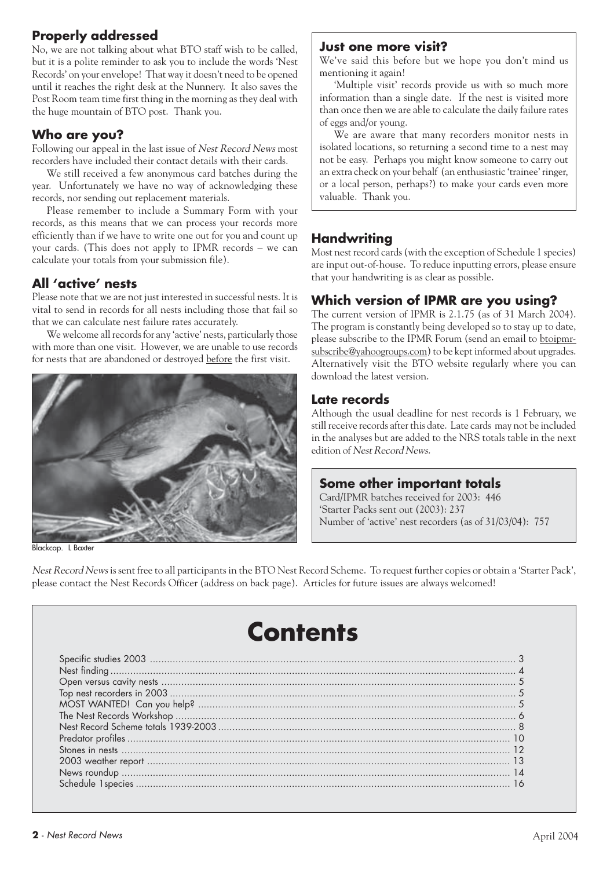## **Properly addressed**

No, we are not talking about what BTO staff wish to be called, but it is a polite reminder to ask you to include the words 'Nest Records' on your envelope! That way it doesn't need to be opened until it reaches the right desk at the Nunnery. It also saves the Post Room team time first thing in the morning as they deal with the huge mountain of BTO post. Thank you.

#### **Who are you?**

Following our appeal in the last issue of Nest Record News most recorders have included their contact details with their cards.

We still received a few anonymous card batches during the year. Unfortunately we have no way of acknowledging these records, nor sending out replacement materials.

Please remember to include a Summary Form with your records, as this means that we can process your records more efficiently than if we have to write one out for you and count up your cards. (This does not apply to IPMR records – we can calculate your totals from your submission file).

## **All 'active' nests**

Please note that we are not just interested in successful nests. It is vital to send in records for all nests including those that fail so that we can calculate nest failure rates accurately.

We welcome all records for any 'active' nests, particularly those with more than one visit. However, we are unable to use records for nests that are abandoned or destroyed before the first visit.



Blackcap. L Baxter

#### **Just one more visit?**

We've said this before but we hope you don't mind us mentioning it again!

'Multiple visit' records provide us with so much more information than a single date. If the nest is visited more than once then we are able to calculate the daily failure rates of eggs and/or young.

We are aware that many recorders monitor nests in isolated locations, so returning a second time to a nest may not be easy. Perhaps you might know someone to carry out an extra check on your behalf (an enthusiastic 'trainee' ringer, or a local person, perhaps?) to make your cards even more valuable. Thank you.

## **Handwriting**

Most nest record cards (with the exception of Schedule 1 species) are input out-of-house. To reduce inputting errors, please ensure that your handwriting is as clear as possible.

## **Which version of IPMR are you using?**

The current version of IPMR is 2.1.75 (as of 31 March 2004). The program is constantly being developed so to stay up to date, please subscribe to the IPMR Forum (send an email to btoipmrsubscribe@yahoogroups.com) to be kept informed about upgrades. Alternatively visit the BTO website regularly where you can download the latest version.

#### **Late records**

Although the usual deadline for nest records is 1 February, we still receive records after this date. Late cards may not be included in the analyses but are added to the NRS totals table in the next edition of Nest Record News.

## **Some other important totals**

Card/IPMR batches received for 2003: 446 'Starter Packs sent out (2003): 237 Number of 'active' nest recorders (as of 31/03/04): 757

Nest Record News is sent free to all participants in the BTO Nest Record Scheme. To request further copies or obtain a 'Starter Pack', please contact the Nest Records Officer (address on back page). Articles for future issues are always welcomed!

## **Contents**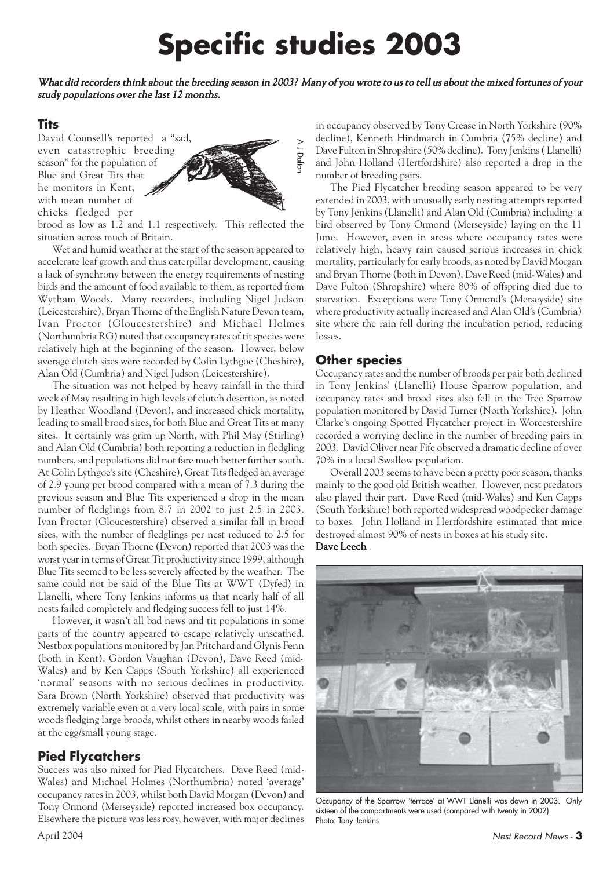## **Specific studies 2003**

What did recorders think about the breeding season in 2003? Many of you wrote to us to tell us about the mixed fortunes of your study populations over the last 12 months.

A J Dalton

#### **Tits**

David Counsell's reported a "sad, even catastrophic breeding season" for the population of Blue and Great Tits that he monitors in Kent, with mean number of chicks fledged per



brood as low as 1.2 and 1.1 respectively. This reflected the situation across much of Britain.

Wet and humid weather at the start of the season appeared to accelerate leaf growth and thus caterpillar development, causing a lack of synchrony between the energy requirements of nesting birds and the amount of food available to them, as reported from Wytham Woods. Many recorders, including Nigel Judson (Leicestershire), Bryan Thorne of the English Nature Devon team, Ivan Proctor (Gloucestershire) and Michael Holmes (Northumbria RG) noted that occupancy rates of tit species were relatively high at the beginning of the season. Howver, below average clutch sizes were recorded by Colin Lythgoe (Cheshire), Alan Old (Cumbria) and Nigel Judson (Leicestershire).

The situation was not helped by heavy rainfall in the third week of May resulting in high levels of clutch desertion, as noted by Heather Woodland (Devon), and increased chick mortality, leading to small brood sizes, for both Blue and Great Tits at many sites. It certainly was grim up North, with Phil May (Stirling) and Alan Old (Cumbria) both reporting a reduction in fledgling numbers, and populations did not fare much better further south. At Colin Lythgoe's site (Cheshire), Great Tits fledged an average of 2.9 young per brood compared with a mean of 7.3 during the previous season and Blue Tits experienced a drop in the mean number of fledglings from 8.7 in 2002 to just 2.5 in 2003. Ivan Proctor (Gloucestershire) observed a similar fall in brood sizes, with the number of fledglings per nest reduced to 2.5 for both species. Bryan Thorne (Devon) reported that 2003 was the worst year in terms of Great Tit productivity since 1999, although Blue Tits seemed to be less severely affected by the weather. The same could not be said of the Blue Tits at WWT (Dyfed) in Llanelli, where Tony Jenkins informs us that nearly half of all nests failed completely and fledging success fell to just 14%.

However, it wasn't all bad news and tit populations in some parts of the country appeared to escape relatively unscathed. Nestbox populations monitored by Jan Pritchard and Glynis Fenn (both in Kent), Gordon Vaughan (Devon), Dave Reed (mid-Wales) and by Ken Capps (South Yorkshire) all experienced 'normal' seasons with no serious declines in productivity. Sara Brown (North Yorkshire) observed that productivity was extremely variable even at a very local scale, with pairs in some woods fledging large broods, whilst others in nearby woods failed at the egg/small young stage.

#### **Pied Flycatchers**

Success was also mixed for Pied Flycatchers. Dave Reed (mid-Wales) and Michael Holmes (Northumbria) noted 'average' occupancy rates in 2003, whilst both David Morgan (Devon) and Tony Ormond (Merseyside) reported increased box occupancy. Elsewhere the picture was less rosy, however, with major declines in occupancy observed by Tony Crease in North Yorkshire (90% decline), Kenneth Hindmarch in Cumbria (75% decline) and Dave Fulton in Shropshire (50% decline). Tony Jenkins ( Llanelli) and John Holland (Hertfordshire) also reported a drop in the number of breeding pairs.

The Pied Flycatcher breeding season appeared to be very extended in 2003, with unusually early nesting attempts reported by Tony Jenkins (Llanelli) and Alan Old (Cumbria) including a bird observed by Tony Ormond (Merseyside) laying on the 11 June. However, even in areas where occupancy rates were relatively high, heavy rain caused serious increases in chick mortality, particularly for early broods, as noted by David Morgan and Bryan Thorne (both in Devon), Dave Reed (mid-Wales) and Dave Fulton (Shropshire) where 80% of offspring died due to starvation. Exceptions were Tony Ormond's (Merseyside) site where productivity actually increased and Alan Old's (Cumbria) site where the rain fell during the incubation period, reducing losses.

#### **Other species**

Occupancy rates and the number of broods per pair both declined in Tony Jenkins' (Llanelli) House Sparrow population, and occupancy rates and brood sizes also fell in the Tree Sparrow population monitored by David Turner (North Yorkshire). John Clarke's ongoing Spotted Flycatcher project in Worcestershire recorded a worrying decline in the number of breeding pairs in 2003. David Oliver near Fife observed a dramatic decline of over 70% in a local Swallow population.

Overall 2003 seems to have been a pretty poor season, thanks mainly to the good old British weather. However, nest predators also played their part. Dave Reed (mid-Wales) and Ken Capps (South Yorkshire) both reported widespread woodpecker damage to boxes. John Holland in Hertfordshire estimated that mice destroyed almost 90% of nests in boxes at his study site. Dave Leech



Occupancy of the Sparrow 'terrace' at WWT Llanelli was down in 2003. Only sixteen of the compartments were used (compared with twenty in 2002). Photo: Tony Jenkins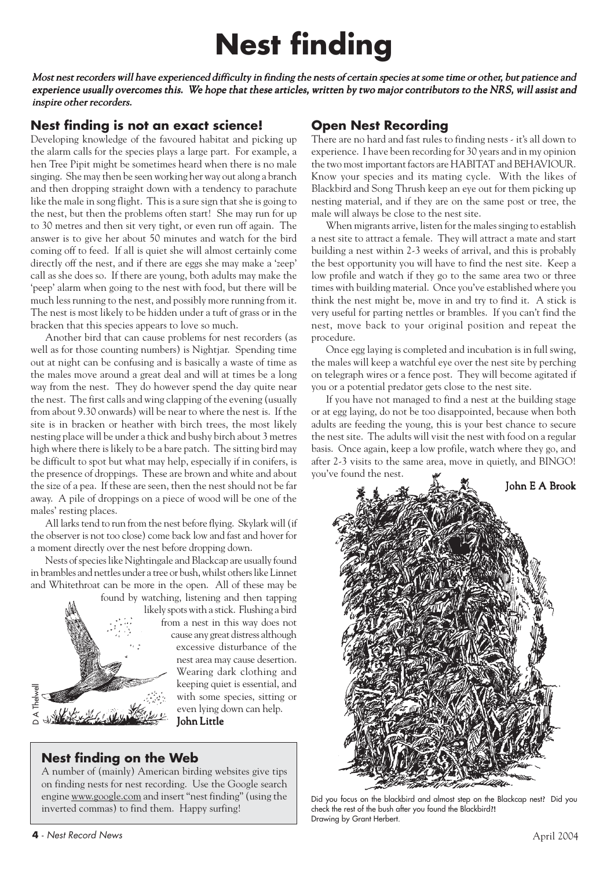## **Nest finding**

Most nest recorders will have experienced difficulty in finding the nests of certain species at some time or other, but patience and experience usually overcomes this. We hope that these articles, written by two major contributors to the NRS, will assist and inspire other recorders.

### **Nest finding is not an exact science!**

Developing knowledge of the favoured habitat and picking up the alarm calls for the species plays a large part. For example, a hen Tree Pipit might be sometimes heard when there is no male singing. She may then be seen working her way out along a branch and then dropping straight down with a tendency to parachute like the male in song flight. This is a sure sign that she is going to the nest, but then the problems often start! She may run for up to 30 metres and then sit very tight, or even run off again. The answer is to give her about 50 minutes and watch for the bird coming off to feed. If all is quiet she will almost certainly come directly off the nest, and if there are eggs she may make a 'zeep' call as she does so. If there are young, both adults may make the 'peep' alarm when going to the nest with food, but there will be much less running to the nest, and possibly more running from it. The nest is most likely to be hidden under a tuft of grass or in the bracken that this species appears to love so much.

Another bird that can cause problems for nest recorders (as well as for those counting numbers) is Nightjar. Spending time out at night can be confusing and is basically a waste of time as the males move around a great deal and will at times be a long way from the nest. They do however spend the day quite near the nest. The first calls and wing clapping of the evening (usually from about 9.30 onwards) will be near to where the nest is. If the site is in bracken or heather with birch trees, the most likely nesting place will be under a thick and bushy birch about 3 metres high where there is likely to be a bare patch. The sitting bird may be difficult to spot but what may help, especially if in conifers, is the presence of droppings. These are brown and white and about the size of a pea. If these are seen, then the nest should not be far away. A pile of droppings on a piece of wood will be one of the males' resting places.

All larks tend to run from the nest before flying. Skylark will (if the observer is not too close) come back low and fast and hover for a moment directly over the nest before dropping down.

Nests of species like Nightingale and Blackcap are usually found in brambles and nettles under a tree or bush, whilst others like Linnet and Whitethroat can be more in the open. All of these may be



found by watching, listening and then tapping likely spots with a stick. Flushing a bird

from a nest in this way does not cause any great distress although excessive disturbance of the nest area may cause desertion. Wearing dark clothing and keeping quiet is essential, and with some species, sitting or even lying down can help. John Little

## **Nest finding on the Web**

A number of (mainly) American birding websites give tips on finding nests for nest recording. Use the Google search engine www.google.com and insert "nest finding" (using the inverted commas) to find them. Happy surfing!

## **Open Nest Recording**

There are no hard and fast rules to finding nests - it's all down to experience. I have been recording for 30 years and in my opinion the two most important factors are HABITAT and BEHAVIOUR. Know your species and its mating cycle. With the likes of Blackbird and Song Thrush keep an eye out for them picking up nesting material, and if they are on the same post or tree, the male will always be close to the nest site.

When migrants arrive, listen for the males singing to establish a nest site to attract a female. They will attract a mate and start building a nest within 2-3 weeks of arrival, and this is probably the best opportunity you will have to find the nest site. Keep a low profile and watch if they go to the same area two or three times with building material. Once you've established where you think the nest might be, move in and try to find it. A stick is very useful for parting nettles or brambles. If you can't find the nest, move back to your original position and repeat the procedure.

Once egg laying is completed and incubation is in full swing, the males will keep a watchful eye over the nest site by perching on telegraph wires or a fence post. They will become agitated if you or a potential predator gets close to the nest site.

If you have not managed to find a nest at the building stage or at egg laying, do not be too disappointed, because when both adults are feeding the young, this is your best chance to secure the nest site. The adults will visit the nest with food on a regular basis. Once again, keep a low profile, watch where they go, and after 2-3 visits to the same area, move in quietly, and BINGO! you've found the nest.



Did you focus on the blackbird and almost step on the Blackcap nest? Did you check the rest of the bush after you found the Blackbird?! Drawing by Grant Herbert.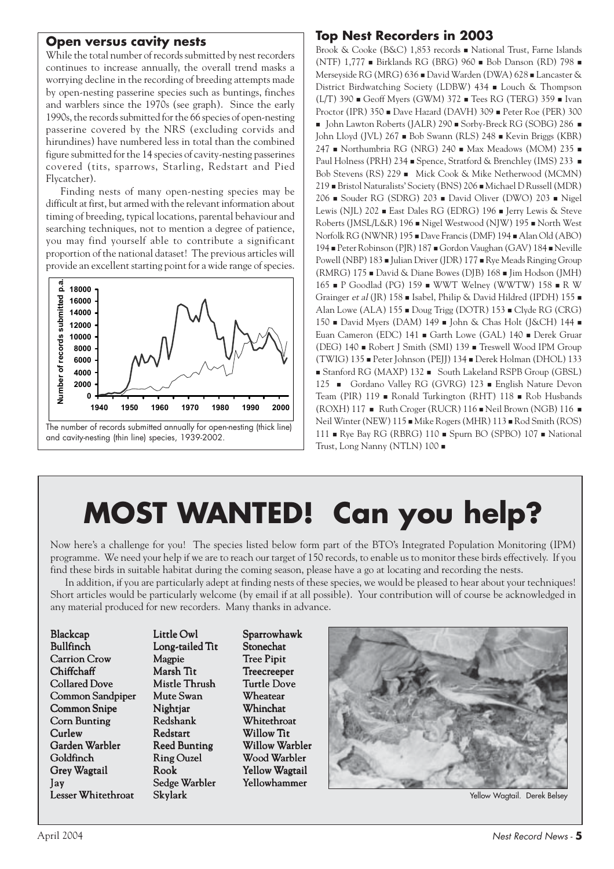#### **Open versus cavity nests**

While the total number of records submitted by nest recorders continues to increase annually, the overall trend masks a worrying decline in the recording of breeding attempts made by open-nesting passerine species such as buntings, finches and warblers since the 1970s (see graph). Since the early 1990s, the records submitted for the 66 species of open-nesting passerine covered by the NRS (excluding corvids and hirundines) have numbered less in total than the combined figure submitted for the 14 species of cavity-nesting passerines covered (tits, sparrows, Starling, Redstart and Pied Flycatcher).

Finding nests of many open-nesting species may be difficult at first, but armed with the relevant information about timing of breeding, typical locations, parental behaviour and searching techniques, not to mention a degree of patience, you may find yourself able to contribute a significant proportion of the national dataset! The previous articles will provide an excellent starting point for a wide range of species.



## **Top Nest Recorders in 2003**

Brook & Cooke (B&C) 1,853 records National Trust, Farne Islands (NTF) 1,777 Birklands RG (BRG) 960 Bob Danson (RD) 798 Merseyside RG (MRG) 636 David Warden (DWA) 628 Lancaster & District Birdwatching Society (LDBW) 434 Louch & Thompson  $(L/T)$  390  $\blacksquare$  Geoff Myers (GWM) 372  $\blacksquare$  Tees RG (TERG) 359  $\blacksquare$  Ivan Proctor (IPR) 350 Dave Hazard (DAVH) 309 Peter Roe (PER) 300  $\blacksquare$  John Lawton Roberts (JALR) 290  $\blacksquare$  Sorby-Breck RG (SOBG) 286  $\blacksquare$ John Lloyd (JVL) 267 Bob Swann (RLS) 248 Kevin Briggs (KBR)  $247$  • Northumbria RG (NRG) 240 • Max Meadows (MOM) 235 • Paul Holness (PRH) 234 Spence, Stratford & Brenchley (IMS) 233 Bob Stevens (RS) 229  $\blacksquare$  Mick Cook & Mike Netherwood (MCMN) 219 Bristol Naturalists' Society (BNS) 206 Michael D Russell (MDR) 206 Souder RG (SDRG) 203 David Oliver (DWO) 203 Nigel Lewis (NJL) 202 East Dales RG (EDRG) 196 Eerry Lewis & Steve Roberts (JMSL/L&R) 196 Nigel Westwood (NJW) 195 North West Norfolk RG (NWNR) 195 Dave Francis (DMF) 194 Alan Old (ABO) 194 Peter Robinson (PJR) 187 Gordon Vaughan (GAV) 184 Neville Powell (NBP) 183 Julian Driver (JDR) 177 Rye Meads Ringing Group (RMRG) 175 David & Diane Bowes (DJB) 168 Jim Hodson (JMH) 165 P Goodlad (PG) 159 WWT Welney (WWTW) 158 R W Grainger et al (JR) 158 - Isabel, Philip & David Hildred (IPDH) 155 -Alan Lowe (ALA) 155 Doug Trigg (DOTR) 153 Clyde RG (CRG) 150 **David Myers (DAM) 149 · John & Chas Holt (J&CH) 144** · Euan Cameron (EDC) 141 Garth Lowe (GAL) 140 Derek Gruar (DEG) 140 Robert J Smith (SMI) 139 Treswell Wood IPM Group (TWIG) 135 Peter Johnson (PEJJ) 134 Derek Holman (DHOL) 133 Stanford RG (MAXP) 132 South Lakeland RSPB Group (GBSL) 125 Gordano Valley RG (GVRG) 123 English Nature Devon Team (PIR) 119 Ronald Turkington (RHT) 118 Rob Husbands (ROXH) 117 Nuth Croger (RUCR) 116 Neil Brown (NGB) 116 N Neil Winter (NEW) 115  $\blacksquare$  Mike Rogers (MHR) 113  $\blacksquare$  Rod Smith (ROS) 111 Rye Bay RG (RBRG) 110 Spurn BO (SPBO) 107 National Trust, Long Nanny (NTLN) 100

## **MOST WANTED! Can you help?**

Now here's a challenge for you! The species listed below form part of the BTO's Integrated Population Monitoring (IPM) programme. We need your help if we are to reach our target of 150 records, to enable us to monitor these birds effectively. If you find these birds in suitable habitat during the coming season, please have a go at locating and recording the nests.

In addition, if you are particularly adept at finding nests of these species, we would be pleased to hear about your techniques! Short articles would be particularly welcome (by email if at all possible). Your contribution will of course be acknowledged in any material produced for new recorders. Many thanks in advance.

Little Owl Long-tailed Tit Magpie Marsh Tit Mistle Thrush Mute Swan Nightiar Redshank Redstart Reed Bunting Ring Ouzel Rook Sedge Warbler Skylark

Sparrowhawk Stonechat **Tree Pipit** Treecreeper Turtle Dove **Wheatear Whinchat** Whitethroat Willow Tit Willow Warbler Wood Warbler Yellow Wagtail Yellowhammer



Yellow Wagtail. Derek Belsey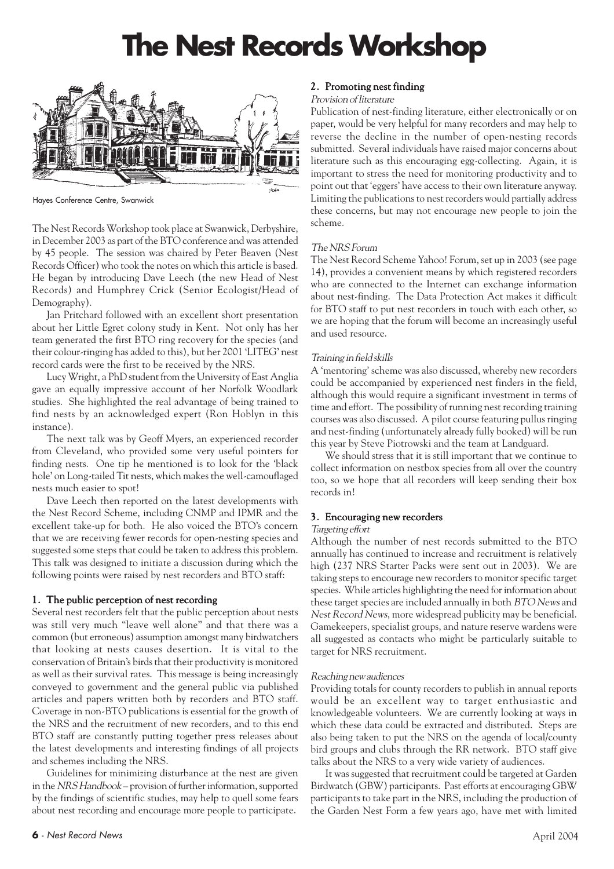## **The Nest Records Workshop**



Hayes Conference Centre, Swanwick

The Nest Records Workshop took place at Swanwick, Derbyshire, in December 2003 as part of the BTO conference and was attended by 45 people. The session was chaired by Peter Beaven (Nest Records Officer) who took the notes on which this article is based. He began by introducing Dave Leech (the new Head of Nest Records) and Humphrey Crick (Senior Ecologist/Head of Demography).

Jan Pritchard followed with an excellent short presentation about her Little Egret colony study in Kent. Not only has her team generated the first BTO ring recovery for the species (and their colour-ringing has added to this), but her 2001 'LITEG' nest record cards were the first to be received by the NRS.

Lucy Wright, a PhD student from the University of East Anglia gave an equally impressive account of her Norfolk Woodlark studies. She highlighted the real advantage of being trained to find nests by an acknowledged expert (Ron Hoblyn in this instance).

The next talk was by Geoff Myers, an experienced recorder from Cleveland, who provided some very useful pointers for finding nests. One tip he mentioned is to look for the 'black hole' on Long-tailed Tit nests, which makes the well-camouflaged nests much easier to spot!

Dave Leech then reported on the latest developments with the Nest Record Scheme, including CNMP and IPMR and the excellent take-up for both. He also voiced the BTO's concern that we are receiving fewer records for open-nesting species and suggested some steps that could be taken to address this problem. This talk was designed to initiate a discussion during which the following points were raised by nest recorders and BTO staff:

#### 1. The public perception of nest recording

Several nest recorders felt that the public perception about nests was still very much "leave well alone" and that there was a common (but erroneous) assumption amongst many birdwatchers that looking at nests causes desertion. It is vital to the conservation of Britain's birds that their productivity is monitored as well as their survival rates. This message is being increasingly conveyed to government and the general public via published articles and papers written both by recorders and BTO staff. Coverage in non-BTO publications is essential for the growth of the NRS and the recruitment of new recorders, and to this end BTO staff are constantly putting together press releases about the latest developments and interesting findings of all projects and schemes including the NRS.

Guidelines for minimizing disturbance at the nest are given in the NRS Handbook – provision of further information, supported by the findings of scientific studies, may help to quell some fears about nest recording and encourage more people to participate.

#### 2. Promoting nest finding

#### Provision of literature

Publication of nest-finding literature, either electronically or on paper, would be very helpful for many recorders and may help to reverse the decline in the number of open-nesting records submitted. Several individuals have raised major concerns about literature such as this encouraging egg-collecting. Again, it is important to stress the need for monitoring productivity and to point out that 'eggers' have access to their own literature anyway. Limiting the publications to nest recorders would partially address these concerns, but may not encourage new people to join the scheme.

#### The NRS Forum

The Nest Record Scheme Yahoo! Forum, set up in 2003 (see page 14), provides a convenient means by which registered recorders who are connected to the Internet can exchange information about nest-finding. The Data Protection Act makes it difficult for BTO staff to put nest recorders in touch with each other, so we are hoping that the forum will become an increasingly useful and used resource.

#### Training in field skills

A 'mentoring' scheme was also discussed, whereby new recorders could be accompanied by experienced nest finders in the field, although this would require a significant investment in terms of time and effort. The possibility of running nest recording training courses was also discussed. A pilot course featuring pullus ringing and nest-finding (unfortunately already fully booked) will be run this year by Steve Piotrowski and the team at Landguard.

We should stress that it is still important that we continue to collect information on nestbox species from all over the country too, so we hope that all recorders will keep sending their box records in!

#### 3. Encouraging new recorders

#### Targeting effort

Although the number of nest records submitted to the BTO annually has continued to increase and recruitment is relatively high (237 NRS Starter Packs were sent out in 2003). We are taking steps to encourage new recorders to monitor specific target species. While articles highlighting the need for information about these target species are included annually in both BTO News and Nest Record News, more widespread publicity may be beneficial. Gamekeepers, specialist groups, and nature reserve wardens were all suggested as contacts who might be particularly suitable to target for NRS recruitment.

#### Reaching new audiences

Providing totals for county recorders to publish in annual reports would be an excellent way to target enthusiastic and knowledgeable volunteers. We are currently looking at ways in which these data could be extracted and distributed. Steps are also being taken to put the NRS on the agenda of local/county bird groups and clubs through the RR network. BTO staff give talks about the NRS to a very wide variety of audiences.

It was suggested that recruitment could be targeted at Garden Birdwatch (GBW) participants. Past efforts at encouraging GBW participants to take part in the NRS, including the production of the Garden Nest Form a few years ago, have met with limited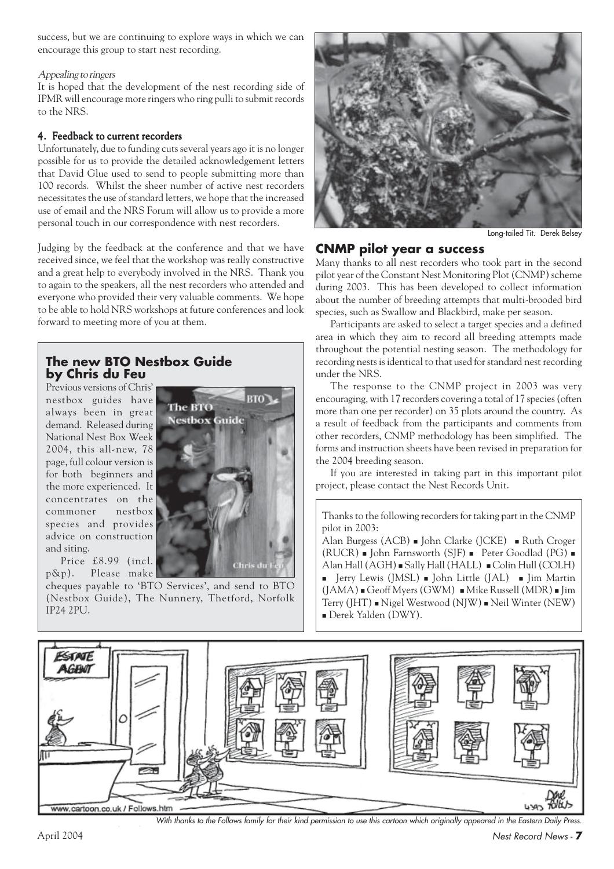success, but we are continuing to explore ways in which we can encourage this group to start nest recording.

#### Appealing to ringers

It is hoped that the development of the nest recording side of IPMR will encourage more ringers who ring pulli to submit records to the NRS.

#### 4. Feedback to current recorders

Unfortunately, due to funding cuts several years ago it is no longer possible for us to provide the detailed acknowledgement letters that David Glue used to send to people submitting more than 100 records. Whilst the sheer number of active nest recorders necessitates the use of standard letters, we hope that the increased use of email and the NRS Forum will allow us to provide a more personal touch in our correspondence with nest recorders.

Judging by the feedback at the conference and that we have received since, we feel that the workshop was really constructive and a great help to everybody involved in the NRS. Thank you to again to the speakers, all the nest recorders who attended and everyone who provided their very valuable comments. We hope to be able to hold NRS workshops at future conferences and look forward to meeting more of you at them.

#### **The new BTO Nestbox Guide by Chris du Feu**

Previous versions of Chris' nestbox guides have always been in great demand. Released during National Nest Box Week 2004, this all-new, 78 page, full colour version is for both beginners and the more experienced. It concentrates on the commoner nestbox species and provides advice on construction and siting.

Price £8.99 (incl. p&p). Please make

cheques payable to 'BTO Services', and send to BTO (Nestbox Guide), The Nunnery, Thetford, Norfolk IP24 2PU.





Long-tailed Tit. Derek Belsey

#### **CNMP pilot year a success**

Many thanks to all nest recorders who took part in the second pilot year of the Constant Nest Monitoring Plot (CNMP) scheme during 2003. This has been developed to collect information about the number of breeding attempts that multi-brooded bird species, such as Swallow and Blackbird, make per season.

Participants are asked to select a target species and a defined area in which they aim to record all breeding attempts made throughout the potential nesting season. The methodology for recording nests is identical to that used for standard nest recording under the NRS.

The response to the CNMP project in 2003 was very encouraging, with 17 recorders covering a total of 17 species (often more than one per recorder) on 35 plots around the country. As a result of feedback from the participants and comments from other recorders, CNMP methodology has been simplified. The forms and instruction sheets have been revised in preparation for the 2004 breeding season.

If you are interested in taking part in this important pilot project, please contact the Nest Records Unit.

Thanks to the following recorders for taking part in the CNMP pilot in 2003:

Alan Burgess (ACB) **John Clarke (JCKE) Ruth Croger** (RUCR)  $\blacksquare$  John Farnsworth (SJF)  $\blacksquare$  Peter Goodlad (PG)  $\blacksquare$ Alan Hall (AGH) = Sally Hall (HALL) = Colin Hull (COLH)  $\blacksquare$  Jerry Lewis (JMSL)  $\blacksquare$  John Little (JAL)  $\blacksquare$  Jim Martin  $(JAMA)$  = Geoff Myers (GWM) = Mike Russell (MDR) = Jim Terry (JHT) - Nigel Westwood (NJW) - Neil Winter (NEW) Derek Yalden (DWY).



With thanks to the Follows family for their kind permission to use this cartoon which originally appeared in the Eastern Daily Press.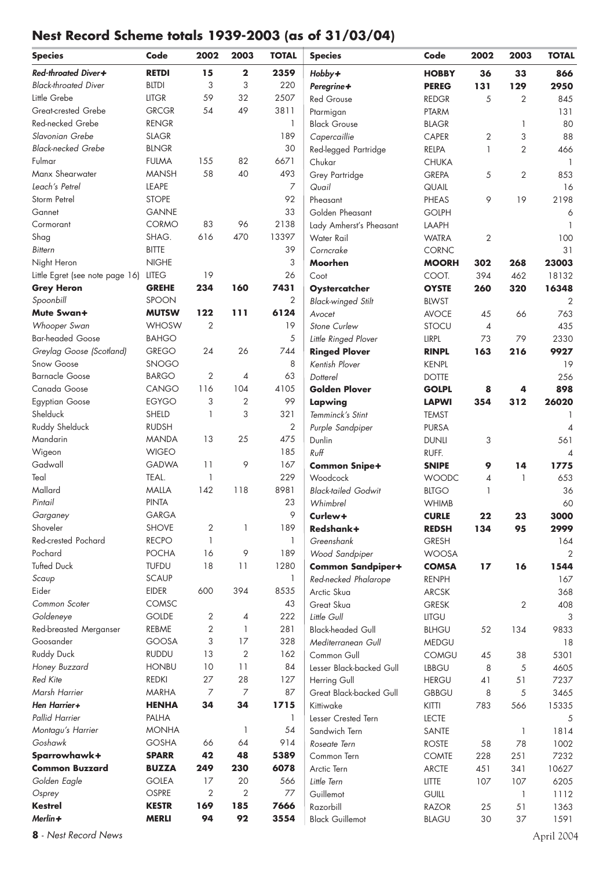## **Nest Record Scheme totals 1939-2003 (as of 31/03/04)**

| <b>Species</b>                             | Code                  | 2002           | 2003              | <b>TOTAL</b>   | <b>Species</b>                          | Code                         | 2002           | 2003           | <b>TOTAL</b>             |
|--------------------------------------------|-----------------------|----------------|-------------------|----------------|-----------------------------------------|------------------------------|----------------|----------------|--------------------------|
| Red-throated Diver+                        | <b>RETDI</b>          | 15             | $\mathbf 2$       | 2359           | Hobby+                                  | <b>HOBBY</b>                 | 36             | 33             | 866                      |
| <b>Black-throated Diver</b>                | <b>BLTDI</b>          | 3              | 3                 | 220            | Peregrine+                              | <b>PEREG</b>                 | 131            | 129            | 2950                     |
| Little Grebe                               | <b>LITGR</b>          | 59             | 32                | 2507           | <b>Red Grouse</b>                       | <b>REDGR</b>                 | 5              | 2              | 845                      |
| Great-crested Grebe                        | <b>GRCGR</b>          | 54             | 49                | 3811           | Ptarmigan                               | <b>PTARM</b>                 |                |                | 131                      |
| Red-necked Grebe                           | <b>RENGR</b>          |                |                   | 1              | <b>Black Grouse</b>                     | <b>BLAGR</b>                 |                | 1              | 80                       |
| Slavonian Grebe                            | <b>SLAGR</b>          |                |                   | 189            | Capercaillie                            | CAPER                        | 2              | 3              | 88                       |
| <b>Black-necked Grebe</b>                  | <b>BLNGR</b>          |                |                   | 30             | Red-legged Partridge                    | RELPA                        | 1              | $\overline{2}$ | 466                      |
| Fulmar                                     | <b>FULMA</b>          | 155            | 82                | 6671           | Chukar                                  | <b>CHUKA</b>                 |                |                | $\mathbf{1}$             |
| Manx Shearwater                            | <b>MANSH</b>          | 58             | 40                | 493            | Grey Partridge                          | <b>GREPA</b>                 | 5              | 2              | 853                      |
| Leach's Petrel                             | LEAPE                 |                |                   | $\overline{7}$ | Quail                                   | QUAIL                        |                |                | 16                       |
| Storm Petrel                               | <b>STOPE</b>          |                |                   | 92             | Pheasant                                | PHEAS                        | 9              | 19             | 2198                     |
| Gannet                                     | <b>GANNE</b>          |                |                   | 33             | Golden Pheasant                         | <b>GOLPH</b>                 |                |                | 6                        |
| Cormorant                                  | CORMO                 | 83             | 96                | 2138           | Lady Amherst's Pheasant                 | LAAPH                        |                |                |                          |
| Shag                                       | SHAG.                 | 616            | 470               | 13397          | Water Rail                              | <b>WATRA</b>                 | 2              |                | 100                      |
| <b>Bittern</b>                             | <b>BITTE</b>          |                |                   | 39             | Corncrake                               | CORNC                        |                |                | 31                       |
| Night Heron                                | <b>NIGHE</b>          |                |                   | 3              | Moorhen                                 | <b>MOORH</b>                 | 302            | 268            | 23003                    |
| Little Egret (see note page 16)            | <b>LITEG</b>          | 19             |                   | 26             | Coot                                    | COOT.                        | 394            | 462            | 18132                    |
| <b>Grey Heron</b>                          | <b>GREHE</b>          | 234            | 160               | 7431           | Oystercatcher                           | <b>OYSTE</b>                 | 260            | 320            | 16348                    |
| Spoonbill                                  | SPOON                 |                |                   | 2              | <b>Black-winged Stilt</b>               | <b>BLWST</b>                 |                |                | 2                        |
| Mute Swan+                                 | <b>MUTSW</b>          | 122            | 111               | 6124           | Avocet                                  | <b>AVOCE</b>                 | 45             | 66             | 763                      |
| Whooper Swan                               | <b>WHOSW</b>          | $\overline{2}$ |                   | 19             | Stone Curlew                            | STOCU                        | $\overline{4}$ |                | 435                      |
| <b>Bar-headed Goose</b>                    | <b>BAHGO</b>          |                |                   | 5              | Little Ringed Plover                    | LIRPL                        | 73             | 79             | 2330                     |
| Greylag Goose (Scotland)                   | <b>GREGO</b>          | 24             | 26                | 744            | <b>Ringed Plover</b>                    | <b>RINPL</b>                 | 163            | 216            | 9927                     |
| Snow Goose                                 | <b>SNOGO</b>          |                |                   | 8              | Kentish Plover                          | <b>KENPL</b>                 |                |                | 19                       |
| <b>Barnacle Goose</b>                      | <b>BARGO</b>          | 2              | $\overline{4}$    | 63             | Dotterel                                | <b>DOTTE</b>                 |                |                | 256                      |
| Canada Goose                               | CANGO                 | 116            | 104               | 4105           | <b>Golden Plover</b>                    | <b>GOLPL</b>                 | 8              | 4              | 898                      |
| <b>Egyptian Goose</b>                      | <b>EGYGO</b>          | 3              | $\overline{2}$    | 99             | Lapwing                                 | <b>LAPWI</b>                 | 354            | 312            | 26020                    |
| Shelduck                                   | SHELD                 | $\mathbf{1}$   | 3                 | 321            | Temminck's Stint                        | <b>TEMST</b>                 |                |                | 1                        |
| Ruddy Shelduck                             | <b>RUDSH</b>          |                |                   | 2              | Purple Sandpiper                        | <b>PURSA</b>                 |                |                | $\overline{4}$           |
| Mandarin                                   | <b>MANDA</b>          | 13             | 25                | 475            | Dunlin                                  | <b>DUNLI</b>                 | 3              |                | 561                      |
| Wigeon                                     | <b>WIGEO</b>          |                |                   | 185            | Ruff                                    | RUFF.                        |                |                | $\overline{\mathcal{A}}$ |
| Gadwall                                    | <b>GADWA</b>          | 11             | 9                 | 167            | <b>Common Snipe+</b>                    | <b>SNIPE</b>                 | 9              | 14             | 1775                     |
| Teal                                       | TEAL.                 | -1             |                   | 229            | Woodcock                                | <b>WOODC</b>                 | 4              | 1              | 653                      |
| Mallard                                    | <b>MALLA</b>          | 142            | 118               | 8981           | <b>Black-tailed Godwit</b>              | <b>BLTGO</b>                 | 1              |                | 36                       |
| Pintail                                    | <b>PINTA</b>          |                |                   | 23             | Whimbrel                                | <b>WHIMB</b>                 |                |                | 60                       |
| Garganey                                   | <b>GARGA</b>          |                |                   | 9              | Curlew+                                 | <b>CURLE</b>                 | 22             | 23             | 3000                     |
| Shoveler                                   | <b>SHOVE</b>          | 2              | 1                 | 189            | Redshank+                               | <b>REDSH</b>                 | 134            | 95             | 2999                     |
| Red-crested Pochard                        | <b>RECPO</b>          | $\mathbf{1}$   |                   | $\mathbf{1}$   | Greenshank                              | <b>GRESH</b>                 |                |                | 164                      |
| Pochard                                    | <b>POCHA</b>          | 16             | 9                 | 189            | Wood Sandpiper                          | <b>WOOSA</b>                 |                |                | 2                        |
| <b>Tufted Duck</b>                         | <b>TUFDU</b>          | 18             | 11                | 1280           | <b>Common Sandpiper+</b>                | <b>COMSA</b>                 | 17             | 16             | 1544                     |
| Scaup                                      | <b>SCAUP</b>          |                |                   | 1              | Red-necked Phalarope                    | <b>RENPH</b>                 |                |                | 167                      |
| Eider                                      | <b>EIDER</b>          | 600            | 394               | 8535           | Arctic Skua                             | <b>ARCSK</b>                 |                |                | 368                      |
| Common Scoter<br>Goldeneye                 | COMSC<br><b>GOLDE</b> | 2              |                   | 43<br>222      | Great Skua                              | <b>GRESK</b>                 |                | 2              | 408                      |
|                                            | REBME                 | 2              | 4<br>$\mathbf{1}$ | 281            | Little Gull                             | LITGU                        |                |                | 3                        |
| <b>Red-breasted Merganser</b><br>Goosander | <b>GOOSA</b>          | 3              | 17                | 328            | <b>Black-headed Gull</b>                | <b>BLHGU</b>                 | 52             | 134            | 9833                     |
| <b>Ruddy Duck</b>                          | <b>RUDDU</b>          | 13             | 2                 | 162            | Mediterranean Gull<br>Common Gull       | <b>MEDGU</b>                 | 45             | 38             | 18<br>5301               |
| Honey Buzzard                              | <b>HONBU</b>          | 10             | 11                | 84             | Lesser Black-backed Gull                | <b>COMGU</b><br><b>LBBGU</b> | 8              | 5              | 4605                     |
| <b>Red Kite</b>                            | <b>REDKI</b>          | 27             | 28                | 127            |                                         | <b>HERGU</b>                 | 41             | 51             | 7237                     |
| Marsh Harrier                              | <b>MARHA</b>          | 7              | 7                 | 87             | Herring Gull<br>Great Black-backed Gull | <b>GBBGU</b>                 | 8              | 5              | 3465                     |
| Hen Harrier+                               | <b>HENHA</b>          | 34             | 34                | 1715           | Kittiwake                               | KITTI                        | 783            | 566            | 15335                    |
| <b>Pallid Harrier</b>                      | PALHA                 |                |                   | 1              | Lesser Crested Tern                     | <b>LECTE</b>                 |                |                | 5                        |
| Montagu's Harrier                          | <b>MONHA</b>          |                | $\mathbf{1}$      | 54             | Sandwich Tern                           | SANTE                        |                | 1              | 1814                     |
| Goshawk                                    | <b>GOSHA</b>          | 66             | 64                | 914            | Roseate Tern                            | <b>ROSTE</b>                 | 58             | 78             | 1002                     |
| Sparrowhawk+                               | <b>SPARR</b>          | 42             | 48                | 5389           | Common Tern                             | <b>COMTE</b>                 | 228            | 251            | 7232                     |
| <b>Common Buzzard</b>                      | <b>BUZZA</b>          | 249            | 230               | 6078           | Arctic Tern                             | <b>ARCTE</b>                 | 451            | 341            | 10627                    |
| Golden Eagle                               | <b>GOLEA</b>          | 17             | 20                | 566            | Little Tern                             | <b>LITTE</b>                 | 107            | 107            | 6205                     |
| Osprey                                     | OSPRE                 | 2              | 2                 | 77             | Guillemot                               | <b>GUILL</b>                 |                | $\mathbf{1}$   | 1112                     |
| <b>Kestrel</b>                             | <b>KESTR</b>          | 169            | 185               | 7666           | Razorbill                               | <b>RAZOR</b>                 | 25             | 51             | 1363                     |
| Merlin+                                    | <b>MERLI</b>          | 94             | 92                | 3554           | <b>Black Guillemot</b>                  | <b>BLAGU</b>                 | 30             | 37             | 1591                     |

**8** - Nest Record News April 2004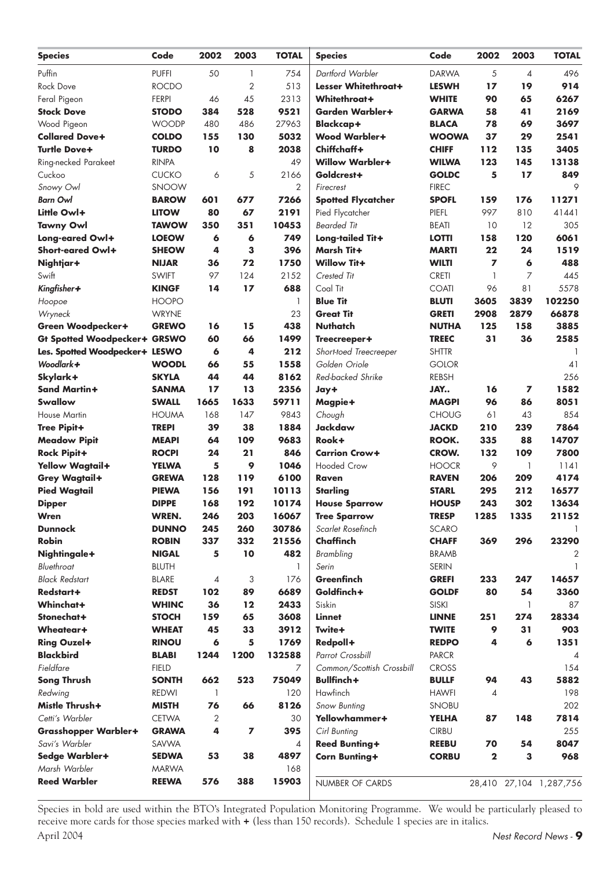| <b>Species</b>                         | Code                         | 2002     | 2003           | <b>TOTAL</b>   | <b>Species</b>                | Code                         | 2002         | 2003         | <b>TOTAL</b>            |
|----------------------------------------|------------------------------|----------|----------------|----------------|-------------------------------|------------------------------|--------------|--------------|-------------------------|
| Puffin                                 | <b>PUFFI</b>                 | 50       | 1              | 754            | Dartford Warbler              | <b>DARWA</b>                 | 5            | 4            | 496                     |
| Rock Dove                              | <b>ROCDO</b>                 |          | $\overline{2}$ | 513            | Lesser Whitethroat+           | <b>LESWH</b>                 | 17           | 19           | 914                     |
| Feral Pigeon                           | <b>FERPI</b>                 | 46       | 45             | 2313           | Whitethroat+                  | <b>WHITE</b>                 | 90           | 65           | 6267                    |
| <b>Stock Dove</b>                      | <b>STODO</b>                 | 384      | 528            | 9521           | <b>Garden Warbler+</b>        | <b>GARWA</b>                 | 58           | 41           | 2169                    |
| Wood Pigeon                            | <b>WOODP</b>                 | 480      | 486            | 27963          | <b>Blackcap+</b>              | <b>BLACA</b>                 | 78           | 69           | 3697                    |
| <b>Collared Dove+</b>                  | <b>COLDO</b>                 | 155      | 130            | 5032           | <b>Wood Warbler+</b>          | <b>WOOWA</b>                 | 37           | 29           | 2541                    |
| <b>Turtle Dove+</b>                    | <b>TURDO</b>                 | 10       | 8              | 2038           | Chiffchaff+                   | <b>CHIFF</b>                 | 112          | 135          | 3405                    |
| Ring-necked Parakeet                   | <b>RINPA</b>                 |          |                | 49             | <b>Willow Warbler+</b>        | <b>WILWA</b>                 | 123          | 145          | 13138                   |
| Cuckoo                                 | <b>CUCKO</b>                 | 6        | 5              | 2166           | Goldcrest+                    | <b>GOLDC</b>                 | 5            | 17           | 849                     |
| Snowy Owl                              | SNOOW                        |          |                | 2              | Firecrest                     | <b>FIREC</b>                 |              |              | 9                       |
| <b>Barn Owl</b>                        | <b>BAROW</b>                 | 601      | 677            | 7266           | <b>Spotted Flycatcher</b>     | <b>SPOFL</b>                 | 159          | 176          | 11271                   |
| Little Owl+                            | <b>LITOW</b>                 | 80       | 67             | 2191           | Pied Flycatcher               | PIEFL                        | 997          | 810          | 41441                   |
| <b>Tawny Owl</b>                       | <b>TAWOW</b>                 | 350      | 351            | 10453          | <b>Bearded Tit</b>            | <b>BEATI</b>                 | 10           | 12           | 305                     |
| Long-eared Owl+                        | <b>LOEOW</b>                 | 6        | 6              | 749            | Long-tailed Tit+              | <b>LOTTI</b>                 | 158          | 120          | 6061                    |
| Short-eared Owl+                       | <b>SHEOW</b>                 | 4        | 3              | 396            | Marsh Tit+                    | <b>MARTI</b>                 | 22           | 24           | 1519                    |
| Nightjar+                              | <b>NIJAR</b>                 | 36       | 72             | 1750           | <b>Willow Tit+</b>            | <b>WILTI</b>                 | 7            | 6            | 488                     |
| Swift                                  | <b>SWIFT</b>                 | 97       | 124            | 2152           | Crested Tit                   | <b>CRETI</b>                 | 1            | 7            | 445                     |
| Kingfisher+                            | <b>KINGF</b>                 | 14       | 17             | 688            | Coal Tit                      | <b>COATI</b>                 | 96           | 81           | 5578                    |
| Hoopoe                                 | <b>HOOPO</b>                 |          |                | 1              | <b>Blue Tit</b>               | <b>BLUTI</b>                 | 3605         | 3839         | 102250                  |
| Wryneck                                | <b>WRYNE</b>                 |          |                | 23             | <b>Great Tit</b>              | <b>GRETI</b>                 | 2908         | 2879         | 66878                   |
| Green Woodpecker+                      | <b>GREWO</b>                 | 16       | 15             | 438            | <b>Nuthatch</b>               | <b>NUTHA</b>                 | 125          | 158          | 3885                    |
| <b>Gt Spotted Woodpecker+ GRSWO</b>    |                              | 60       | 66             | 1499           | Treecreeper+                  | <b>TREEC</b>                 | 31           | 36           | 2585                    |
| Les. Spotted Woodpecker+ LESWO         |                              | 6        | 4              | 212            | Short-toed Treecreeper        | <b>SHTTR</b>                 |              |              |                         |
| Woodlark+                              | <b>WOODL</b>                 | 66       | 55             | 1558           | Golden Oriole                 | <b>GOLOR</b>                 |              |              | 41                      |
| Skylark+                               | <b>SKYLA</b>                 | 44       | 44             | 8162           | Red-backed Shrike             | <b>REBSH</b>                 |              |              | 256                     |
| <b>Sand Martin+</b>                    | <b>SANMA</b>                 | 17       | 13             | 2356           | Jay+                          | JAY                          | 16           | 7            | 1582                    |
| <b>Swallow</b>                         | <b>SWALL</b>                 | 1665     | 1633           | 59711          | Magpie+                       | <b>MAGPI</b>                 | 96           | 86           | 8051                    |
| <b>House Martin</b>                    | <b>HOUMA</b>                 | 168      | 147            | 9843           | Chough                        | <b>CHOUG</b>                 | 61           | 43           | 854                     |
| <b>Tree Pipit+</b>                     | <b>TREPI</b>                 | 39       | 38             | 1884           | Jackdaw                       | <b>JACKD</b>                 | 210          | 239          | 7864                    |
| <b>Meadow Pipit</b>                    | <b>MEAPI</b>                 | 64       | 109            | 9683           | Rook+                         | ROOK.                        | 335          | 88           | 14707                   |
| <b>Rock Pipit+</b>                     | <b>ROCPI</b>                 | 24       | 21             | 846            | <b>Carrion Crow+</b>          | <b>CROW.</b>                 | 132          | 109          | 7800                    |
| <b>Yellow Wagtail+</b>                 | <b>YELWA</b>                 | 5        | 9              | 1046           | <b>Hooded Crow</b>            | <b>HOOCR</b>                 | 9            | 1            | 1141                    |
| <b>Grey Wagtail+</b>                   | <b>GREWA</b>                 | 128      | 119            | 6100           | Raven                         | <b>RAVEN</b>                 | 206          | 209          | 4174                    |
| <b>Pied Wagtail</b>                    | <b>PIEWA</b>                 | 156      | 191            | 10113          | <b>Starlina</b>               | <b>STARL</b>                 | 295          | 212          | 16577                   |
| <b>Dipper</b>                          | <b>DIPPE</b>                 | 168      | 192            | 10174          | <b>House Sparrow</b>          | <b>HOUSP</b>                 | 243          | 302          | 13634                   |
| Wren                                   | WREN.                        | 246      | 203            | 16067          | <b>Tree Sparrow</b>           | <b>TRESP</b>                 | 1285         | 1335         | 21152                   |
| <b>Dunnock</b>                         | <b>DUNNO</b>                 | 245      | 260            | 30786          | Scarlet Rosefinch             | <b>SCARO</b>                 |              |              |                         |
| <b>Robin</b>                           | <b>ROBIN</b>                 | 337      | 332            | 21556          | Chaffinch                     | <b>CHAFF</b>                 | 369          | 296          | 23290                   |
| Nightingale+                           | <b>NIGAL</b>                 | 5        | 10             | 482            | <b>Brambling</b>              | <b>BRAMB</b>                 |              |              | 2                       |
| Bluethroat                             | <b>BLUTH</b>                 |          |                | $\mathbf{1}$   | Serin                         | <b>SERIN</b>                 |              |              | $\mathbf{1}$            |
| <b>Black Redstart</b>                  | <b>BLARE</b>                 | 4        | 3              | 176            | Greenfinch                    | <b>GREFI</b>                 | 233          | 247          | 14657                   |
| Redstart+                              | <b>REDST</b>                 | 102      | 89             | 6689           | Goldfinch+                    | <b>GOLDF</b>                 | 80           | 54           | 3360                    |
| Whinchat+<br>Stonechat+                | <b>WHINC</b>                 | 36       | $12 \,$        | 2433           | Siskin                        | SISKI                        |              | 1            | 87                      |
|                                        | <b>STOCH</b>                 | 159      | 65             | 3608           | <b>Linnet</b><br>Twite+       | <b>LINNE</b>                 | 251          | 274          | 28334                   |
| Wheatear+                              | <b>WHEAT</b>                 | 45       | 33             | 3912           |                               | <b>TWITE</b>                 | 9            | 31           | 903                     |
| <b>Ring Ouzel+</b><br><b>Blackbird</b> | <b>RINOU</b>                 | 6        | 5              | 1769           | Redpoll+                      | <b>REDPO</b>                 | 4            | 6            | 1351                    |
| Fieldfare                              | <b>BLABI</b>                 | 1244     | 1200           | 132588         | Parrot Crossbill              | <b>PARCR</b>                 |              |              | $\overline{4}$          |
|                                        | <b>FIELD</b>                 |          |                | 7              | Common/Scottish Crossbill     | <b>CROSS</b>                 |              |              | 154                     |
| <b>Song Thrush</b>                     | <b>SONTH</b><br><b>REDWI</b> | 662<br>1 | 523            | 75049<br>120   | Bullfinch+<br>Hawfinch        | <b>BULLF</b><br><b>HAWFI</b> | 94<br>4      | 43           | 5882<br>198             |
| Redwing<br>Mistle Thrush+              | <b>MISTH</b>                 | 76       | 66             | 8126           |                               |                              |              |              | 202                     |
| Cetti's Warbler                        | <b>CETWA</b>                 | 2        |                | 30             | Snow Bunting<br>Yellowhammer+ | <b>SNOBU</b><br><b>YELHA</b> | 87           | 148          | 7814                    |
| <b>Grasshopper Warbler+</b>            | <b>GRAWA</b>                 | 4        | 7              | 395            | Cirl Bunting                  | <b>CIRBU</b>                 |              |              | 255                     |
| Savi's Warbler                         | SAVWA                        |          |                | $\overline{4}$ | <b>Reed Bunting+</b>          | <b>REEBU</b>                 | 70           | 54           | 8047                    |
| Sedge Warbler+                         | <b>SEDWA</b>                 | 53       | 38             | 4897           | <b>Corn Bunting+</b>          | <b>CORBU</b>                 | $\mathbf{2}$ | $\mathbf{3}$ | 968                     |
| Marsh Warbler                          | <b>MARWA</b>                 |          |                | 168            |                               |                              |              |              |                         |
| <b>Reed Warbler</b>                    | <b>REEWA</b>                 | 576      | 388            | 15903          |                               |                              |              |              |                         |
|                                        |                              |          |                |                | NUMBER OF CARDS               |                              |              |              | 28,410 27,104 1,287,756 |

Species in bold are used within the BTO's Integrated Population Monitoring Programme. We would be particularly pleased to receive more cards for those species marked with + (less than 150 records). Schedule 1 species are in italics.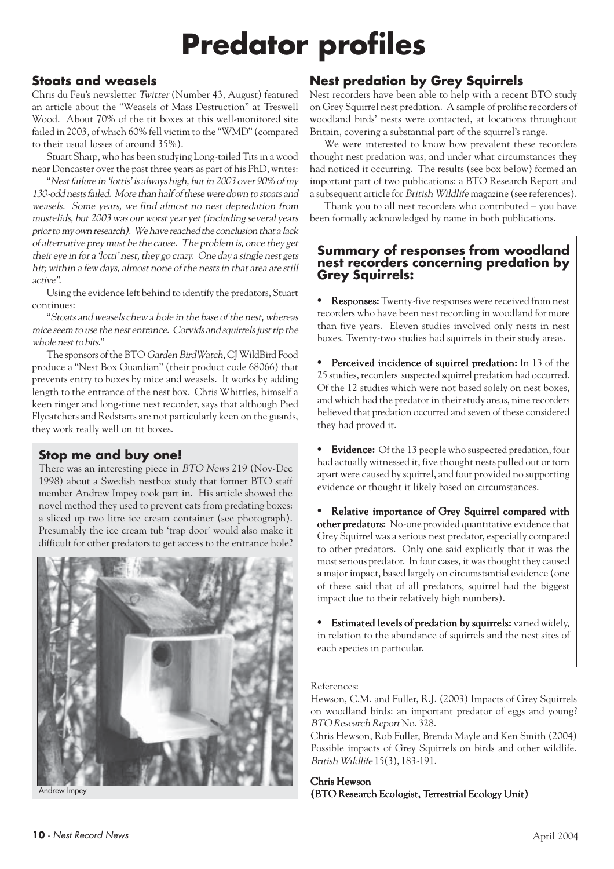## **Predator profiles**

## **Stoats and weasels**

Chris du Feu's newsletter Twitter (Number 43, August) featured an article about the "Weasels of Mass Destruction" at Treswell Wood. About 70% of the tit boxes at this well-monitored site failed in 2003, of which 60% fell victim to the "WMD" (compared to their usual losses of around 35%).

Stuart Sharp, who has been studying Long-tailed Tits in a wood near Doncaster over the past three years as part of his PhD, writes:

"Nest failure in 'lottis' is always high, but in 2003 over 90% of my 130-odd nests failed. More than half of these were down to stoats and weasels. Some years, we find almost no nest depredation from mustelids, but 2003 was our worst year yet (including several years prior to my own research). We have reached the conclusion that a lack of alternative prey must be the cause. The problem is, once they get their eye in for a 'lotti' nest, they go crazy. One day a single nest gets hit; within a few days, almost none of the nests in that area are still active".

Using the evidence left behind to identify the predators, Stuart continues:

"Stoats and weasels chew a hole in the base of the nest, whereas mice seem to use the nest entrance. Corvids and squirrels just rip the whole nest to bits."

The sponsors of the BTO Garden BirdWatch, CJ WildBird Food produce a "Nest Box Guardian" (their product code 68066) that prevents entry to boxes by mice and weasels. It works by adding length to the entrance of the nest box. Chris Whittles, himself a keen ringer and long-time nest recorder, says that although Pied Flycatchers and Redstarts are not particularly keen on the guards, they work really well on tit boxes.

#### **Stop me and buy one!**

There was an interesting piece in BTO News 219 (Nov-Dec 1998) about a Swedish nestbox study that former BTO staff member Andrew Impey took part in. His article showed the novel method they used to prevent cats from predating boxes: a sliced up two litre ice cream container (see photograph). Presumably the ice cream tub 'trap door' would also make it difficult for other predators to get access to the entrance hole?



Andrew Impey

## **Nest predation by Grey Squirrels**

Nest recorders have been able to help with a recent BTO study on Grey Squirrel nest predation. A sample of prolific recorders of woodland birds' nests were contacted, at locations throughout Britain, covering a substantial part of the squirrel's range.

We were interested to know how prevalent these recorders thought nest predation was, and under what circumstances they had noticed it occurring. The results (see box below) formed an important part of two publications: a BTO Research Report and a subsequent article for British Wildlife magazine (see references).

Thank you to all nest recorders who contributed – you have been formally acknowledged by name in both publications.

#### **Summary of responses from woodland nest recorders concerning predation by Grey Squirrels:**

**Responses:** Twenty-five responses were received from nest recorders who have been nest recording in woodland for more than five years. Eleven studies involved only nests in nest boxes. Twenty-two studies had squirrels in their study areas.

**Perceived incidence of squirrel predation:** In 13 of the 25 studies, recorders suspected squirrel predation had occurred. Of the 12 studies which were not based solely on nest boxes, and which had the predator in their study areas, nine recorders believed that predation occurred and seven of these considered they had proved it.

• Evidence: Of the 13 people who suspected predation, four had actually witnessed it, five thought nests pulled out or torn apart were caused by squirrel, and four provided no supporting evidence or thought it likely based on circumstances.

**•** Relative importance of Grey Squirrel compared with other predators: No-one provided quantitative evidence that Grey Squirrel was a serious nest predator, especially compared to other predators. Only one said explicitly that it was the most serious predator. In four cases, it was thought they caused a major impact, based largely on circumstantial evidence (one of these said that of all predators, squirrel had the biggest impact due to their relatively high numbers).

• Estimated levels of predation by squirrels: varied widely, in relation to the abundance of squirrels and the nest sites of each species in particular.

#### References:

Hewson, C.M. and Fuller, R.J. (2003) Impacts of Grey Squirrels on woodland birds: an important predator of eggs and young? BTO Research Report No. 328.

Chris Hewson, Rob Fuller, Brenda Mayle and Ken Smith (2004) Possible impacts of Grey Squirrels on birds and other wildlife. British Wildlife 15(3), 183-191.

Chris Hewson (BTO Research Ecologist, Terrestrial Ecology Unit)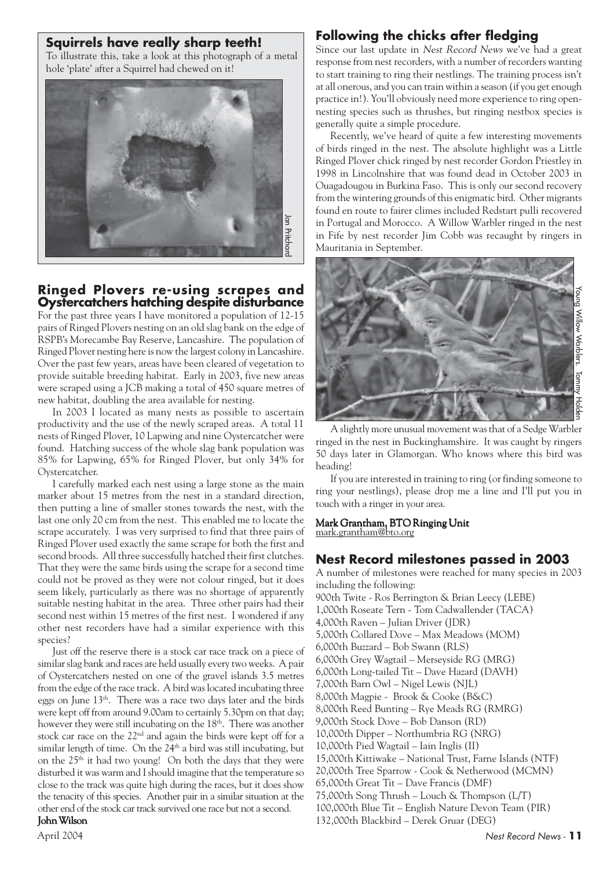#### **Squirrels have really sharp teeth!**

To illustrate this, take a look at this photograph of a metal hole 'plate' after a Squirrel had chewed on it!



#### **Ringed Plovers re-using scrapes and Oystercatchers hatching despite disturbance**

For the past three years I have monitored a population of 12-15 pairs of Ringed Plovers nesting on an old slag bank on the edge of RSPB's Morecambe Bay Reserve, Lancashire. The population of Ringed Plover nesting here is now the largest colony in Lancashire. Over the past few years, areas have been cleared of vegetation to provide suitable breeding habitat. Early in 2003, five new areas were scraped using a JCB making a total of 450 square metres of new habitat, doubling the area available for nesting.

In 2003 I located as many nests as possible to ascertain productivity and the use of the newly scraped areas. A total 11 nests of Ringed Plover, 10 Lapwing and nine Oystercatcher were found. Hatching success of the whole slag bank population was 85% for Lapwing, 65% for Ringed Plover, but only 34% for Oystercatcher.

I carefully marked each nest using a large stone as the main marker about 15 metres from the nest in a standard direction, then putting a line of smaller stones towards the nest, with the last one only 20 cm from the nest. This enabled me to locate the scrape accurately. I was very surprised to find that three pairs of Ringed Plover used exactly the same scrape for both the first and second broods. All three successfully hatched their first clutches. That they were the same birds using the scrape for a second time could not be proved as they were not colour ringed, but it does seem likely, particularly as there was no shortage of apparently suitable nesting habitat in the area. Three other pairs had their second nest within 15 metres of the first nest. I wondered if any other nest recorders have had a similar experience with this species?

Just off the reserve there is a stock car race track on a piece of similar slag bank and races are held usually every two weeks. A pair of Oystercatchers nested on one of the gravel islands 3.5 metres from the edge of the race track. A bird was located incubating three eggs on June 13<sup>th</sup>. There was a race two days later and the birds were kept off from around 9.00am to certainly 5.30pm on that day; however they were still incubating on the 18<sup>th</sup>. There was another stock car race on the 22nd and again the birds were kept off for a similar length of time. On the 24<sup>th</sup> a bird was still incubating, but on the 25<sup>th</sup> it had two young! On both the days that they were disturbed it was warm and I should imagine that the temperature so close to the track was quite high during the races, but it does show the tenacity of this species. Another pair in a similar situation at the other end of the stock car track survived one race but not a second.

#### John Wilson

#### **Following the chicks after fledging**

Since our last update in Nest Record News we've had a great response from nest recorders, with a number of recorders wanting to start training to ring their nestlings. The training process isn't at all onerous, and you can train within a season (if you get enough practice in!). You'll obviously need more experience to ring opennesting species such as thrushes, but ringing nestbox species is generally quite a simple procedure.

Recently, we've heard of quite a few interesting movements of birds ringed in the nest. The absolute highlight was a Little Ringed Plover chick ringed by nest recorder Gordon Priestley in 1998 in Lincolnshire that was found dead in October 2003 in Ouagadougou in Burkina Faso. This is only our second recovery from the wintering grounds of this enigmatic bird. Other migrants found en route to fairer climes included Redstart pulli recovered in Portugal and Morocco. A Willow Warbler ringed in the nest in Fife by nest recorder Jim Cobb was recaught by ringers in Mauritania in September.



A slightly more unusual movement was that of a Sedge Warbler ringed in the nest in Buckinghamshire. It was caught by ringers 50 days later in Glamorgan. Who knows where this bird was heading!

If you are interested in training to ring (or finding someone to ring your nestlings), please drop me a line and I'll put you in touch with a ringer in your area.

#### Mark Grantham, BTO Ringing Unit mark.grantham@bto.org

#### **Nest Record milestones passed in 2003**

A number of milestones were reached for many species in 2003 including the following: 900th Twite - Ros Berrington & Brian Leecy (LEBE) 1,000th Roseate Tern - Tom Cadwallender (TACA) 4,000th Raven – Julian Driver (JDR) 5,000th Collared Dove – Max Meadows (MOM) 6,000th Buzzard – Bob Swann (RLS) 6,000th Grey Wagtail – Merseyside RG (MRG) 6,000th Long-tailed Tit – Dave Hazard (DAVH) 7,000th Barn Owl – Nigel Lewis (NJL) 8,000th Magpie - Brook & Cooke (B&C) 8,000th Reed Bunting – Rye Meads RG (RMRG) 9,000th Stock Dove – Bob Danson (RD) 10,000th Dipper – Northumbria RG (NRG) 10,000th Pied Wagtail – Iain Inglis (II) 15,000th Kittiwake – National Trust, Farne Islands (NTF) 20,000th Tree Sparrow - Cook & Netherwood (MCMN) 65,000th Great Tit – Dave Francis (DMF) 75,000th Song Thrush – Louch & Thompson (L/T) 100,000th Blue Tit – English Nature Devon Team (PIR) 132,000th Blackbird – Derek Gruar (DEG)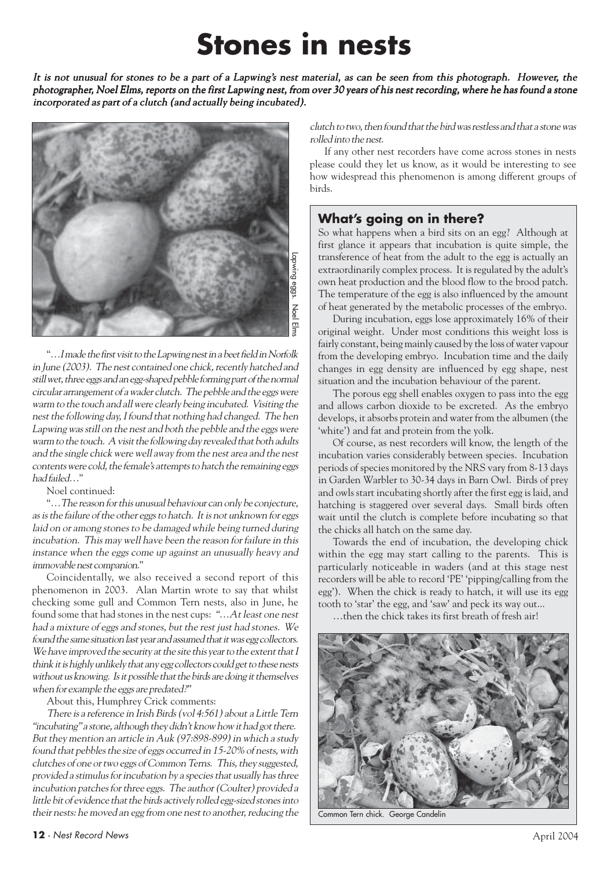## **Stones in nests**

It is not unusual for stones to be a part of a Lapwing's nest material, as can be seen from this photograph. However, the photographer, Noel Elms, reports on the first Lapwing nest, from over 30 years of his nest recording, where he has found a stone incorporated as part of a clutch (and actually being incubated).



"…I made the first visit to the Lapwing nest in a beet field in Norfolk in June (2003). The nest contained one chick, recently hatched and still wet, three eggs and an egg-shaped pebble forming part of the normal circular arrangement of a wader clutch. The pebble and the eggs were warm to the touch and all were clearly being incubated. Visiting the nest the following day, I found that nothing had changed. The hen Lapwing was still on the nest and both the pebble and the eggs were warm to the touch. A visit the following day revealed that both adults and the single chick were well away from the nest area and the nest contents were cold, the female's attempts to hatch the remaining eggs had failed…"

Noel continued:

"…The reason for this unusual behaviour can only be conjecture, as is the failure of the other eggs to hatch. It is not unknown for eggs laid on or among stones to be damaged while being turned during incubation. This may well have been the reason for failure in this instance when the eggs come up against an unusually heavy and immovable nest companion."

Coincidentally, we also received a second report of this phenomenon in 2003. Alan Martin wrote to say that whilst checking some gull and Common Tern nests, also in June, he found some that had stones in the nest cups: "…At least one nest had a mixture of eggs and stones, but the rest just had stones. We found the same situation last year and assumed that it was egg collectors. We have improved the security at the site this year to the extent that I think it is highly unlikely that any egg collectors could get to these nests without us knowing. Is it possible that the birds are doing it themselves when for example the eggs are predated?"

About this, Humphrey Crick comments:

There is a reference in Irish Birds (vol 4:561) about a Little Tern "incubating" a stone, although they didn't know how it had got there. But they mention an article in Auk (97:898-899) in which a study found that pebbles the size of eggs occurred in 15-20% of nests, with clutches of one or two eggs of Common Terns. This, they suggested, provided a stimulus for incubation by a species that usually has three incubation patches for three eggs. The author (Coulter) provided a little bit of evidence that the birds actively rolled egg-sized stones into their nests: he moved an egg from one nest to another, reducing the clutch to two, then found that the bird was restless and that a stone was rolled into the nest.

If any other nest recorders have come across stones in nests please could they let us know, as it would be interesting to see how widespread this phenomenon is among different groups of birds.

## **What's going on in there?**

So what happens when a bird sits on an egg? Although at first glance it appears that incubation is quite simple, the transference of heat from the adult to the egg is actually an extraordinarily complex process. It is regulated by the adult's own heat production and the blood flow to the brood patch. The temperature of the egg is also influenced by the amount of heat generated by the metabolic processes of the embryo.

During incubation, eggs lose approximately 16% of their original weight. Under most conditions this weight loss is fairly constant, being mainly caused by the loss of water vapour from the developing embryo. Incubation time and the daily changes in egg density are influenced by egg shape, nest situation and the incubation behaviour of the parent.

The porous egg shell enables oxygen to pass into the egg and allows carbon dioxide to be excreted. As the embryo develops, it absorbs protein and water from the albumen (the 'white') and fat and protein from the yolk.

Of course, as nest recorders will know, the length of the incubation varies considerably between species. Incubation periods of species monitored by the NRS vary from 8-13 days in Garden Warbler to 30-34 days in Barn Owl. Birds of prey and owls start incubating shortly after the first egg is laid, and hatching is staggered over several days. Small birds often wait until the clutch is complete before incubating so that the chicks all hatch on the same day.

Towards the end of incubation, the developing chick within the egg may start calling to the parents. This is particularly noticeable in waders (and at this stage nest recorders will be able to record 'PE' 'pipping/calling from the egg'). When the chick is ready to hatch, it will use its egg tooth to 'star' the egg, and 'saw' and peck its way out...

…then the chick takes its first breath of fresh air!



Common Tern chick. George Candelin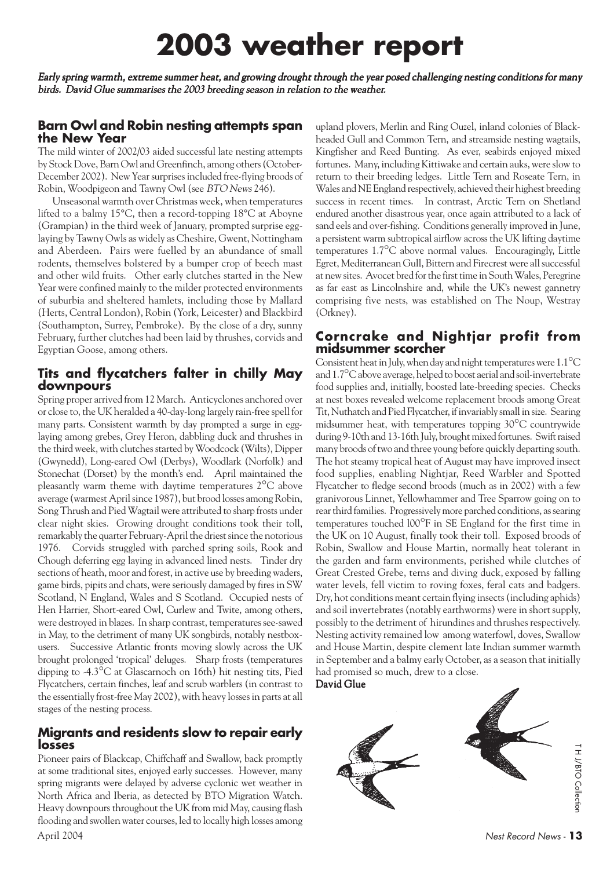## **2003 weather report**

Early spring warmth, extreme summer heat, and growing drought through the year posed challenging nesting conditions for many birds. David Glue summarises the 2003 breeding season in relation to the weather.

#### **Barn Owl and Robin nesting attempts span the New Year**

The mild winter of 2002/03 aided successful late nesting attempts by Stock Dove, Barn Owl and Greenfinch, among others (October-December 2002). New Year surprises included free-flying broods of Robin, Woodpigeon and Tawny Owl (see BTO News 246).

Unseasonal warmth over Christmas week, when temperatures lifted to a balmy 15°C, then a record-topping 18°C at Aboyne (Grampian) in the third week of January, prompted surprise egglaying by Tawny Owls as widely as Cheshire, Gwent, Nottingham and Aberdeen. Pairs were fuelled by an abundance of small rodents, themselves bolstered by a bumper crop of beech mast and other wild fruits. Other early clutches started in the New Year were confined mainly to the milder protected environments of suburbia and sheltered hamlets, including those by Mallard (Herts, Central London), Robin (York, Leicester) and Blackbird (Southampton, Surrey, Pembroke). By the close of a dry, sunny February, further clutches had been laid by thrushes, corvids and Egyptian Goose, among others.

#### **Tits and flycatchers falter in chilly May downpours**

Spring proper arrived from 12 March. Anticyclones anchored over or close to, the UK heralded a 40-day-long largely rain-free spell for many parts. Consistent warmth by day prompted a surge in egglaying among grebes, Grey Heron, dabbling duck and thrushes in the third week, with clutches started by Woodcock (Wilts), Dipper (Gwynedd), Long-eared Owl (Derbys), Woodlark (Norfolk) and Stonechat (Dorset) by the month's end. April maintained the pleasantly warm theme with daytime temperatures 2°C above average (warmest April since 1987), but brood losses among Robin, Song Thrush and Pied Wagtail were attributed to sharp frosts under clear night skies. Growing drought conditions took their toll, remarkably the quarter February-April the driest since the notorious 1976. Corvids struggled with parched spring soils, Rook and Chough deferring egg laying in advanced lined nests. Tinder dry sections of heath, moor and forest, in active use by breeding waders, game birds, pipits and chats, were seriously damaged by fires in SW Scotland, N England, Wales and S Scotland. Occupied nests of Hen Harrier, Short-eared Owl, Curlew and Twite, among others, were destroyed in blazes. In sharp contrast, temperatures see-sawed in May, to the detriment of many UK songbirds, notably nestboxusers. Successive Atlantic fronts moving slowly across the UK brought prolonged 'tropical' deluges. Sharp frosts (temperatures dipping to -4.3°C at Glascarnoch on 16th) hit nesting tits, Pied Flycatchers, certain finches, leaf and scrub warblers (in contrast to the essentially frost-free May 2002), with heavy losses in parts at all stages of the nesting process.

#### **Migrants and residents slow to repair early losses**

Pioneer pairs of Blackcap, Chiffchaff and Swallow, back promptly at some traditional sites, enjoyed early successes. However, many spring migrants were delayed by adverse cyclonic wet weather in North Africa and Iberia, as detected by BTO Migration Watch. Heavy downpours throughout the UK from mid May, causing flash flooding and swollen water courses, led to locally high losses among upland plovers, Merlin and Ring Ouzel, inland colonies of Blackheaded Gull and Common Tern, and streamside nesting wagtails, Kingfisher and Reed Bunting. As ever, seabirds enjoyed mixed fortunes. Many, including Kittiwake and certain auks, were slow to return to their breeding ledges. Little Tern and Roseate Tern, in Wales and NE England respectively, achieved their highest breeding success in recent times. In contrast, Arctic Tern on Shetland endured another disastrous year, once again attributed to a lack of sand eels and over-fishing. Conditions generally improved in June, a persistent warm subtropical airflow across the UK lifting daytime temperatures 1.7°C above normal values. Encouragingly, Little Egret, Mediterranean Gull, Bittern and Firecrest were all successful at new sites. Avocet bred for the first time in South Wales, Peregrine as far east as Lincolnshire and, while the UK's newest gannetry comprising five nests, was established on The Noup, Westray (Orkney).

#### **Corncrake and Nightjar profit from midsummer scorcher**

Consistent heat in July, when day and night temperatures were 1.1°C and 1.7°C above average, helped to boost aerial and soil-invertebrate food supplies and, initially, boosted late-breeding species. Checks at nest boxes revealed welcome replacement broods among Great Tit, Nuthatch and Pied Flycatcher, if invariably small in size. Searing midsummer heat, with temperatures topping 30°C countrywide during 9-10th and 13-16th July, brought mixed fortunes. Swift raised many broods of two and three young before quickly departing south. The hot steamy tropical heat of August may have improved insect food supplies, enabling Nightjar, Reed Warbler and Spotted Flycatcher to fledge second broods (much as in 2002) with a few granivorous Linnet, Yellowhammer and Tree Sparrow going on to rear third families. Progressively more parched conditions, as searing temperatures touched l00°F in SE England for the first time in the UK on 10 August, finally took their toll. Exposed broods of Robin, Swallow and House Martin, normally heat tolerant in the garden and farm environments, perished while clutches of Great Crested Grebe, terns and diving duck, exposed by falling water levels, fell victim to roving foxes, feral cats and badgers. Dry, hot conditions meant certain flying insects (including aphids) and soil invertebrates (notably earthworms) were in short supply, possibly to the detriment of hirundines and thrushes respectively. Nesting activity remained low among waterfowl, doves, Swallow and House Martin, despite clement late Indian summer warmth in September and a balmy early October, as a season that initially had promised so much, drew to a close. David Glue



T H J/BTO Collection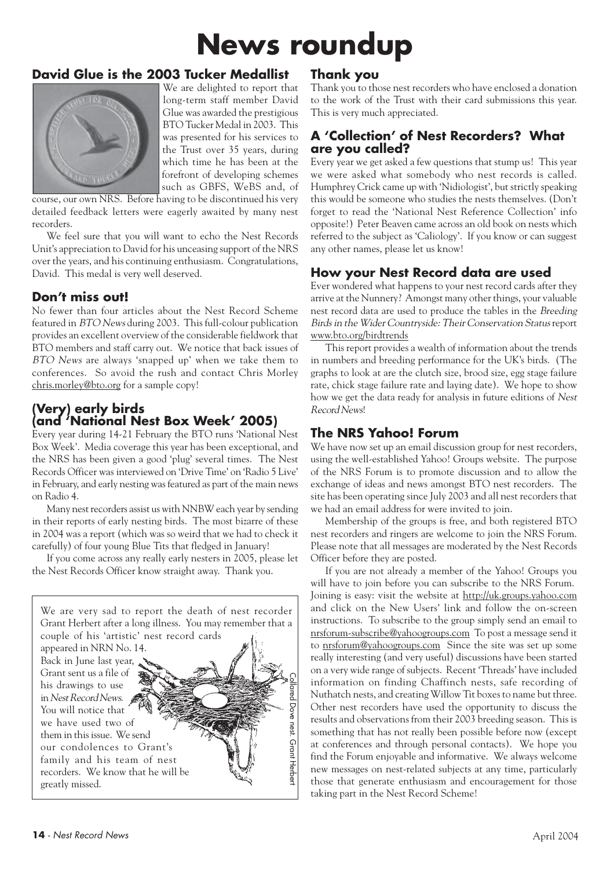## **News roundup**

## **David Glue is the 2003 Tucker Medallist**



We are delighted to report that long-term staff member David Glue was awarded the prestigious BTO Tucker Medal in 2003. This was presented for his services to the Trust over 35 years, during which time he has been at the forefront of developing schemes such as GBFS, WeBS and, of

course, our own NRS. Before having to be discontinued his very detailed feedback letters were eagerly awaited by many nest recorders.

We feel sure that you will want to echo the Nest Records Unit's appreciation to David for his unceasing support of the NRS over the years, and his continuing enthusiasm. Congratulations, David. This medal is very well deserved.

## **Don't miss out!**

No fewer than four articles about the Nest Record Scheme featured in BTO News during 2003. This full-colour publication provides an excellent overview of the considerable fieldwork that BTO members and staff carry out. We notice that back issues of BTO News are always 'snapped up' when we take them to conferences. So avoid the rush and contact Chris Morley chris.morley@bto.org for a sample copy!

#### **(Very) early birds (and 'National Nest Box Week' 2005)**

Every year during 14-21 February the BTO runs 'National Nest Box Week'. Media coverage this year has been exceptional, and the NRS has been given a good 'plug' several times. The Nest Records Officer was interviewed on 'Drive Time' on 'Radio 5 Live' in February, and early nesting was featured as part of the main news on Radio 4.

Many nest recorders assist us with NNBW each year by sending in their reports of early nesting birds. The most bizarre of these in 2004 was a report (which was so weird that we had to check it carefully) of four young Blue Tits that fledged in January!

If you come across any really early nesters in 2005, please let the Nest Records Officer know straight away. Thank you.



## **Thank you**

Thank you to those nest recorders who have enclosed a donation to the work of the Trust with their card submissions this year. This is very much appreciated.

#### **A 'Collection' of Nest Recorders? What are you called?**

Every year we get asked a few questions that stump us! This year we were asked what somebody who nest records is called. Humphrey Crick came up with 'Nidiologist', but strictly speaking this would be someone who studies the nests themselves. (Don't forget to read the 'National Nest Reference Collection' info opposite!) Peter Beaven came across an old book on nests which referred to the subject as 'Caliology'. If you know or can suggest any other names, please let us know!

#### **How your Nest Record data are used**

Ever wondered what happens to your nest record cards after they arrive at the Nunnery? Amongst many other things, your valuable nest record data are used to produce the tables in the Breeding Birds in the Wider Countryside: Their Conservation Status report www.bto.org/birdtrends

This report provides a wealth of information about the trends in numbers and breeding performance for the UK's birds. (The graphs to look at are the clutch size, brood size, egg stage failure rate, chick stage failure rate and laying date). We hope to show how we get the data ready for analysis in future editions of Nest Record News!

#### **The NRS Yahoo! Forum**

We have now set up an email discussion group for nest recorders, using the well-established Yahoo! Groups website. The purpose of the NRS Forum is to promote discussion and to allow the exchange of ideas and news amongst BTO nest recorders. The site has been operating since July 2003 and all nest recorders that we had an email address for were invited to join.

Membership of the groups is free, and both registered BTO nest recorders and ringers are welcome to join the NRS Forum. Please note that all messages are moderated by the Nest Records Officer before they are posted.

If you are not already a member of the Yahoo! Groups you will have to join before you can subscribe to the NRS Forum. Joining is easy: visit the website at http://uk.groups.yahoo.com and click on the New Users' link and follow the on-screen instructions. To subscribe to the group simply send an email to nrsforum-subscribe@yahoogroups.com To post a message send it to nrsforum@yahoogroups.com Since the site was set up some really interesting (and very useful) discussions have been started on a very wide range of subjects. Recent 'Threads' have included information on finding Chaffinch nests, safe recording of Nuthatch nests, and creating Willow Tit boxes to name but three. Other nest recorders have used the opportunity to discuss the results and observations from their 2003 breeding season. This is something that has not really been possible before now (except at conferences and through personal contacts). We hope you find the Forum enjoyable and informative. We always welcome new messages on nest-related subjects at any time, particularly those that generate enthusiasm and encouragement for those taking part in the Nest Record Scheme!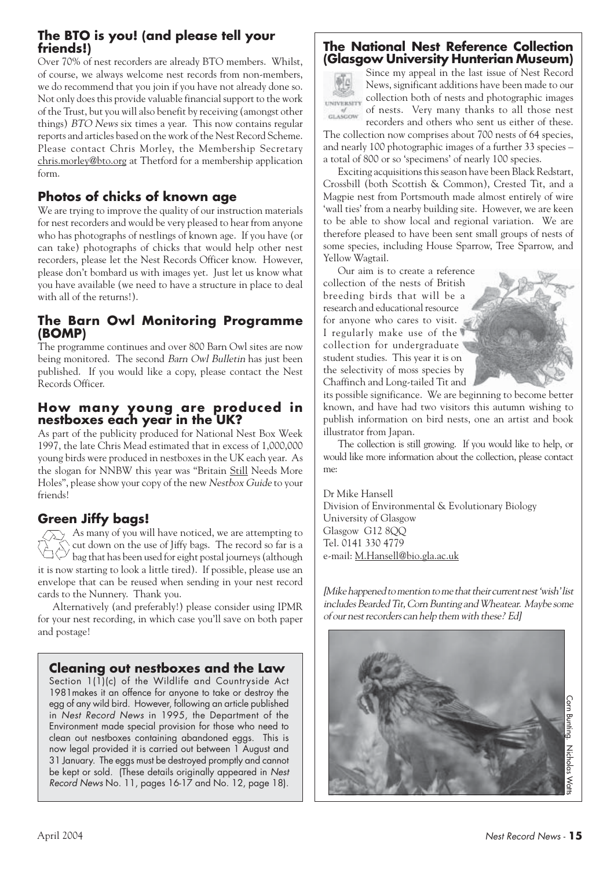#### **The BTO is you! (and please tell your friends!)**

Over 70% of nest recorders are already BTO members. Whilst, of course, we always welcome nest records from non-members, we do recommend that you join if you have not already done so. Not only does this provide valuable financial support to the work of the Trust, but you will also benefit by receiving (amongst other things) BTO News six times a year. This now contains regular reports and articles based on the work of the Nest Record Scheme. Please contact Chris Morley, the Membership Secretary chris.morley@bto.org at Thetford for a membership application form.

## **Photos of chicks of known age**

We are trying to improve the quality of our instruction materials for nest recorders and would be very pleased to hear from anyone who has photographs of nestlings of known age. If you have (or can take) photographs of chicks that would help other nest recorders, please let the Nest Records Officer know. However, please don't bombard us with images yet. Just let us know what you have available (we need to have a structure in place to deal with all of the returns!).

#### **The Barn Owl Monitoring Programme (BOMP)**

The programme continues and over 800 Barn Owl sites are now being monitored. The second Barn Owl Bulletin has just been published. If you would like a copy, please contact the Nest Records Officer.

#### **How many young are produced in nestboxes each year in the UK?**

As part of the publicity produced for National Nest Box Week 1997, the late Chris Mead estimated that in excess of 1,000,000 young birds were produced in nestboxes in the UK each year. As the slogan for NNBW this year was "Britain Still Needs More Holes", please show your copy of the new Nestbox Guide to your friends!

## **Green Jiffy bags!**

As many of you will have noticed, we are attempting to cut down on the use of Jiffy bags. The record so far is a bag that has been used for eight postal journeys (although it is now starting to look a little tired). If possible, please use an envelope that can be reused when sending in your nest record cards to the Nunnery. Thank you.

Alternatively (and preferably!) please consider using IPMR for your nest recording, in which case you'll save on both paper and postage!

#### **Cleaning out nestboxes and the Law**

Section 1(1)(c) of the Wildlife and Countryside Act 1981makes it an offence for anyone to take or destroy the egg of any wild bird. However, following an article published in Nest Record News in 1995, the Department of the Environment made special provision for those who need to clean out nestboxes containing abandoned eggs. This is now legal provided it is carried out between 1 August and 31 January. The eggs must be destroyed promptly and cannot be kept or sold. (These details originally appeared in Nest Record News No. 11, pages 16-17 and No. 12, page 18).

#### **The National Nest Reference Collection (Glasgow University Hunterian Museum)**



Since my appeal in the last issue of Nest Record News, significant additions have been made to our collection both of nests and photographic images of nests. Very many thanks to all those nest recorders and others who sent us either of these.

The collection now comprises about 700 nests of 64 species, and nearly 100 photographic images of a further 33 species – a total of 800 or so 'specimens' of nearly 100 species.

Exciting acquisitions this season have been Black Redstart, Crossbill (both Scottish & Common), Crested Tit, and a Magpie nest from Portsmouth made almost entirely of wire 'wall ties' from a nearby building site. However, we are keen to be able to show local and regional variation. We are therefore pleased to have been sent small groups of nests of some species, including House Sparrow, Tree Sparrow, and Yellow Wagtail.

Our aim is to create a reference collection of the nests of British breeding birds that will be a research and educational resource for anyone who cares to visit. I regularly make use of the collection for undergraduate student studies. This year it is on the selectivity of moss species by Chaffinch and Long-tailed Tit and



its possible significance. We are beginning to become better known, and have had two visitors this autumn wishing to publish information on bird nests, one an artist and book illustrator from Japan.

The collection is still growing. If you would like to help, or would like more information about the collection, please contact me:

Dr Mike Hansell Division of Environmental & Evolutionary Biology University of Glasgow Glasgow G12 8QQ Tel. 0141 330 4779 e-mail: M.Hansell@bio.gla.ac.uk

[Mike happened to mention to me that their current nest 'wish' list includes Bearded Tit, Corn Bunting and Wheatear. Maybe some of our nest recorders can help them with these? Ed]